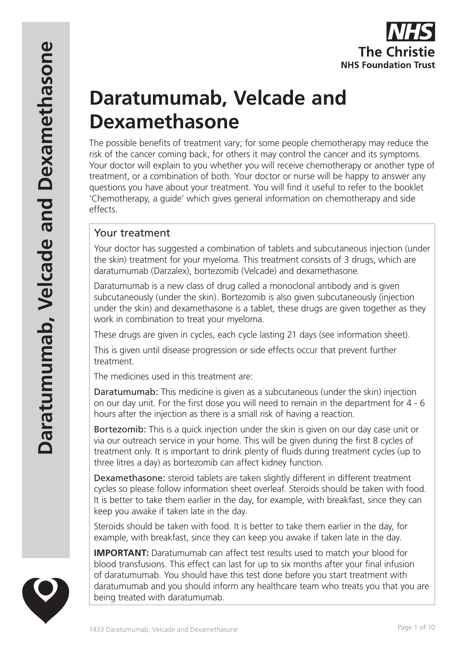

# **Daratumumab, Velcade and Dexamethasone**

The possible benefits of treatment vary; for some people chemotherapy may reduce the risk of the cancer coming back, for others it may control the cancer and its symptoms. Your doctor will explain to you whether you will receive chemotherapy or another type of treatment, or a combination of both. Your doctor or nurse will be happy to answer any questions you have about your treatment. You will find it useful to refer to the booklet 'Chemotherapy, a guide' which gives general information on chemotherapy and side effects.

## Your treatment

Your doctor has suggested a combination of tablets and subcutaneous injection (under the skin) treatment for your myeloma. This treatment consists of 3 drugs, which are daratumumab (Darzalex), bortezomib (Velcade) and dexamethasone.

Daratumumab is a new class of drug called a monoclonal antibody and is given subcutaneously (under the skin). Bortezomib is also given subcutaneously (injection under the skin) and dexamethasone is a tablet, these drugs are given together as they work in combination to treat your myeloma.

These drugs are given in cycles, each cycle lasting 21 days (see information sheet).

This is given until disease progression or side effects occur that prevent further treatment.

The medicines used in this treatment are:

Daratumumab: This medicine is given as a subcutaneous (under the skin) injection on our day unit. For the first dose you will need to remain in the department for 4 - 6 hours after the injection as there is a small risk of having a reaction.

Bortezomib: This is a quick injection under the skin is given on our day case unit or via our outreach service in your home. This will be given during the first 8 cycles of treatment only. It is important to drink plenty of fluids during treatment cycles (up to three litres a day) as bortezomib can affect kidney function.

Dexamethasone: steroid tablets are taken slightly different in different treatment cycles so please follow information sheet overleaf. Steroids should be taken with food. It is better to take them earlier in the day, for example, with breakfast, since they can keep you awake if taken late in the day.

Steroids should be taken with food. It is better to take them earlier in the day, for example, with breakfast, since they can keep you awake if taken late in the day.

**IMPORTANT:** Daratumumab can affect test results used to match your blood for blood transfusions. This effect can last for up to six months after your final infusion of daratumumab. You should have this test done before you start treatment with daratumumab and you should inform any healthcare team who treats you that you are being treated with daratumumab.

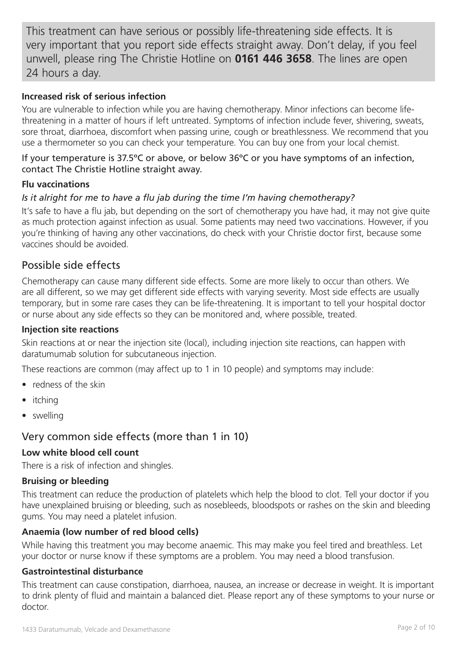This treatment can have serious or possibly life-threatening side effects. It is very important that you report side effects straight away. Don't delay, if you feel unwell, please ring The Christie Hotline on **0161 446 3658**. The lines are open 24 hours a day.

#### **Increased risk of serious infection**

You are vulnerable to infection while you are having chemotherapy. Minor infections can become lifethreatening in a matter of hours if left untreated. Symptoms of infection include fever, shivering, sweats, sore throat, diarrhoea, discomfort when passing urine, cough or breathlessness. We recommend that you use a thermometer so you can check your temperature. You can buy one from your local chemist.

#### If your temperature is 37.5ºC or above, or below 36ºC or you have symptoms of an infection, contact The Christie Hotline straight away.

#### **Flu vaccinations**

## *Is it alright for me to have a flu jab during the time I'm having chemotherapy?*

It's safe to have a flu jab, but depending on the sort of chemotherapy you have had, it may not give quite as much protection against infection as usual. Some patients may need two vaccinations. However, if you you're thinking of having any other vaccinations, do check with your Christie doctor first, because some vaccines should be avoided.

## Possible side effects

Chemotherapy can cause many different side effects. Some are more likely to occur than others. We are all different, so we may get different side effects with varying severity. Most side effects are usually temporary, but in some rare cases they can be life-threatening. It is important to tell your hospital doctor or nurse about any side effects so they can be monitored and, where possible, treated.

#### **Injection site reactions**

Skin reactions at or near the injection site (local), including injection site reactions, can happen with daratumumab solution for subcutaneous injection.

These reactions are common (may affect up to 1 in 10 people) and symptoms may include:

- redness of the skin
- itching
- swelling

## Very common side effects (more than 1 in 10)

#### **Low white blood cell count**

There is a risk of infection and shingles.

## **Bruising or bleeding**

This treatment can reduce the production of platelets which help the blood to clot. Tell your doctor if you have unexplained bruising or bleeding, such as nosebleeds, bloodspots or rashes on the skin and bleeding gums. You may need a platelet infusion.

## **Anaemia (low number of red blood cells)**

While having this treatment you may become anaemic. This may make you feel tired and breathless. Let your doctor or nurse know if these symptoms are a problem. You may need a blood transfusion.

## **Gastrointestinal disturbance**

This treatment can cause constipation, diarrhoea, nausea, an increase or decrease in weight. It is important to drink plenty of fluid and maintain a balanced diet. Please report any of these symptoms to your nurse or doctor.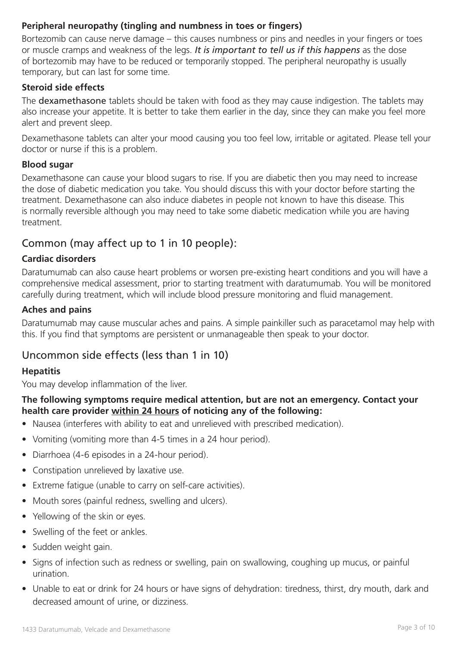## **Peripheral neuropathy (tingling and numbness in toes or fingers)**

Bortezomib can cause nerve damage – this causes numbness or pins and needles in your fingers or toes or muscle cramps and weakness of the legs. *It is important to tell us if this happens* as the dose of bortezomib may have to be reduced or temporarily stopped. The peripheral neuropathy is usually temporary, but can last for some time.

#### **Steroid side effects**

The dexamethasone tablets should be taken with food as they may cause indigestion. The tablets may also increase your appetite. It is better to take them earlier in the day, since they can make you feel more alert and prevent sleep.

Dexamethasone tablets can alter your mood causing you too feel low, irritable or agitated. Please tell your doctor or nurse if this is a problem.

#### **Blood sugar**

Dexamethasone can cause your blood sugars to rise. If you are diabetic then you may need to increase the dose of diabetic medication you take. You should discuss this with your doctor before starting the treatment. Dexamethasone can also induce diabetes in people not known to have this disease. This is normally reversible although you may need to take some diabetic medication while you are having treatment.

## Common (may affect up to 1 in 10 people):

## **Cardiac disorders**

Daratumumab can also cause heart problems or worsen pre-existing heart conditions and you will have a comprehensive medical assessment, prior to starting treatment with daratumumab. You will be monitored carefully during treatment, which will include blood pressure monitoring and fluid management.

#### **Aches and pains**

Daratumumab may cause muscular aches and pains. A simple painkiller such as paracetamol may help with this. If you find that symptoms are persistent or unmanageable then speak to your doctor.

## Uncommon side effects (less than 1 in 10)

#### **Hepatitis**

You may develop inflammation of the liver.

## **The following symptoms require medical attention, but are not an emergency. Contact your health care provider within 24 hours of noticing any of the following:**

- Nausea (interferes with ability to eat and unrelieved with prescribed medication).
- Vomiting (vomiting more than 4-5 times in a 24 hour period).
- Diarrhoea (4-6 episodes in a 24-hour period).
- Constipation unrelieved by laxative use.
- Extreme fatigue (unable to carry on self-care activities).
- Mouth sores (painful redness, swelling and ulcers).
- Yellowing of the skin or eyes.
- Swelling of the feet or ankles.
- Sudden weight gain.
- Signs of infection such as redness or swelling, pain on swallowing, coughing up mucus, or painful urination.
- Unable to eat or drink for 24 hours or have signs of dehydration: tiredness, thirst, dry mouth, dark and decreased amount of urine, or dizziness.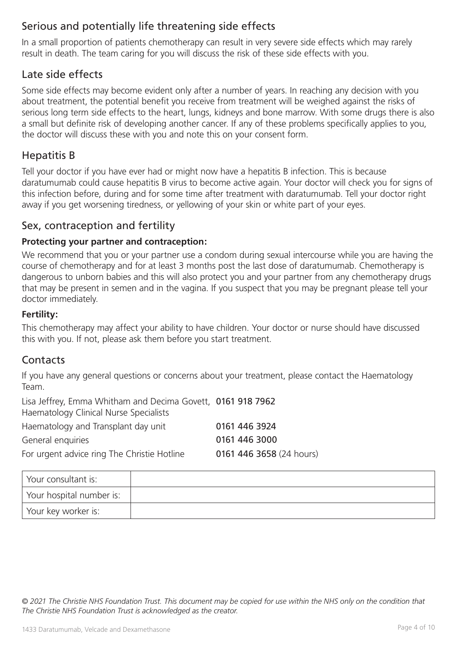# Serious and potentially life threatening side effects

In a small proportion of patients chemotherapy can result in very severe side effects which may rarely result in death. The team caring for you will discuss the risk of these side effects with you.

## Late side effects

Some side effects may become evident only after a number of years. In reaching any decision with you about treatment, the potential benefit you receive from treatment will be weighed against the risks of serious long term side effects to the heart, lungs, kidneys and bone marrow. With some drugs there is also a small but definite risk of developing another cancer. If any of these problems specifically applies to you, the doctor will discuss these with you and note this on your consent form.

## Hepatitis B

Tell your doctor if you have ever had or might now have a hepatitis B infection. This is because daratumumab could cause hepatitis B virus to become active again. Your doctor will check you for signs of this infection before, during and for some time after treatment with daratumumab. Tell your doctor right away if you get worsening tiredness, or yellowing of your skin or white part of your eyes.

## Sex, contraception and fertility

## **Protecting your partner and contraception:**

We recommend that you or your partner use a condom during sexual intercourse while you are having the course of chemotherapy and for at least 3 months post the last dose of daratumumab. Chemotherapy is dangerous to unborn babies and this will also protect you and your partner from any chemotherapy drugs that may be present in semen and in the vagina. If you suspect that you may be pregnant please tell your doctor immediately.

## **Fertility:**

This chemotherapy may affect your ability to have children. Your doctor or nurse should have discussed this with you. If not, please ask them before you start treatment.

## **Contacts**

If you have any general questions or concerns about your treatment, please contact the Haematology Team.

Lisa Jeffrey, Emma Whitham and Decima Govett, 0161 918 7962 Haematology Clinical Nurse Specialists

| Haematology and Transplant day unit         | 0161 446 3924            |
|---------------------------------------------|--------------------------|
| General enquiries                           | 0161 446 3000            |
| For urgent advice ring The Christie Hotline | 0161 446 3658 (24 hours) |

| Your consultant is:      |  |
|--------------------------|--|
| Your hospital number is: |  |
| Your key worker is:      |  |

*© 2021 The Christie NHS Foundation Trust. This document may be copied for use within the NHS only on the condition that The Christie NHS Foundation Trust is acknowledged as the creator.*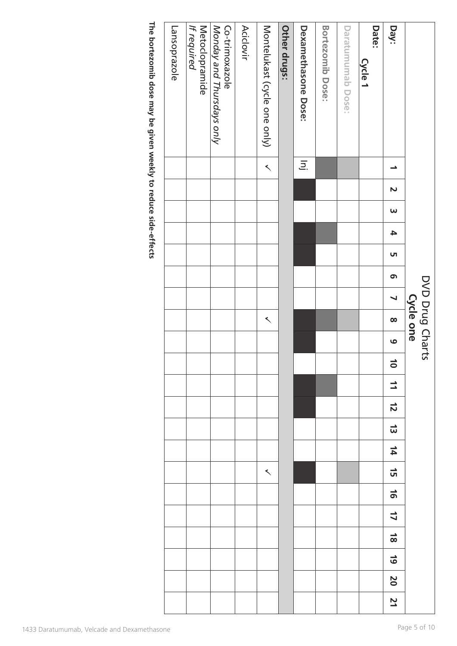| The bortezomib dose may be given weekly to reduce side-effects | Lansoprazole | Metoclopramide<br>If required | Monday and Thursdays only<br>Co-trimoxazole | <b>Aciclovir</b> | Montelukast (cycle one only) | Other drugs: | Dexamethasone<br>Dexamethasone | Bortezomib Dose: | Daratumumab Dose: | Date:<br>Cycle 1 | Day:                    |                 |
|----------------------------------------------------------------|--------------|-------------------------------|---------------------------------------------|------------------|------------------------------|--------------|--------------------------------|------------------|-------------------|------------------|-------------------------|-----------------|
|                                                                |              |                               |                                             |                  | $\left\langle \right\rangle$ |              | $\overline{\Xi}$ .             |                  |                   |                  | $\rightarrow$           |                 |
|                                                                |              |                               |                                             |                  |                              |              |                                |                  |                   |                  | $\mathbf{N}$            |                 |
|                                                                |              |                               |                                             |                  |                              |              |                                |                  |                   |                  | $\omega$                |                 |
|                                                                |              |                               |                                             |                  |                              |              |                                |                  |                   |                  | $\blacktriangle$        |                 |
|                                                                |              |                               |                                             |                  |                              |              |                                |                  |                   |                  | U1                      |                 |
|                                                                |              |                               |                                             |                  |                              |              |                                |                  |                   |                  | თ $\,$                  |                 |
|                                                                |              |                               |                                             |                  |                              |              |                                |                  |                   |                  | $\blacktriangleleft$    | DVD Drug Charts |
|                                                                |              |                               |                                             |                  | $\prec$                      |              |                                |                  |                   |                  | $\infty$                | Cycle one       |
|                                                                |              |                               |                                             |                  |                              |              |                                |                  |                   |                  | $\bullet$               |                 |
|                                                                |              |                               |                                             |                  |                              |              |                                |                  |                   |                  | $\overline{\bullet}$    |                 |
|                                                                |              |                               |                                             |                  |                              |              |                                |                  |                   |                  | $\mathbf{I}$            |                 |
|                                                                |              |                               |                                             |                  |                              |              |                                |                  |                   |                  | $\vec{z}$               |                 |
|                                                                |              |                               |                                             |                  |                              |              |                                |                  |                   |                  | $\vec{\omega}$          |                 |
|                                                                |              |                               |                                             |                  |                              |              |                                |                  |                   |                  | 14                      |                 |
|                                                                |              |                               |                                             |                  | $\leq$                       |              |                                |                  |                   |                  | 뉴                       |                 |
|                                                                |              |                               |                                             |                  |                              |              |                                |                  |                   |                  | $\vec{5}$               |                 |
|                                                                |              |                               |                                             |                  |                              |              |                                |                  |                   |                  | $\overline{\mathsf{L}}$ |                 |
|                                                                |              |                               |                                             |                  |                              |              |                                |                  |                   |                  | $\frac{1}{8}$           |                 |
|                                                                |              |                               |                                             |                  |                              |              |                                |                  |                   |                  | $\overline{6}$          |                 |
|                                                                |              |                               |                                             |                  |                              |              |                                |                  |                   |                  | $\mathbf{S}$            |                 |
|                                                                |              |                               |                                             |                  |                              |              |                                |                  |                   |                  | 21                      |                 |
| 1433 Daratumumab, Velcade and Dexamethasone                    |              |                               |                                             |                  |                              |              |                                |                  |                   |                  |                         | Page 5 of 10    |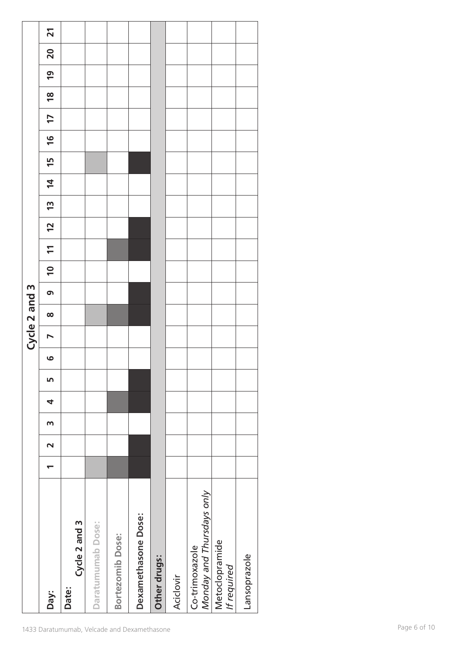|                       | $\overline{\phantom{0}}$<br>Day: | Cycle 2 and 3<br>Date: | Daratumumab Dose: | Bortezomib Dose: | Dexamethasone Dose: | Other drugs: | Aciclovir | Monday and Thursdays only<br>Co-trimoxazole | Metoclopramide<br>If required | Lansoprazole |
|-----------------------|----------------------------------|------------------------|-------------------|------------------|---------------------|--------------|-----------|---------------------------------------------|-------------------------------|--------------|
|                       | $\mathsf m$<br>$\sim$            |                        |                   |                  |                     |              |           |                                             |                               |              |
|                       | 4                                |                        |                   |                  |                     |              |           |                                             |                               |              |
|                       | Ln                               |                        |                   |                  |                     |              |           |                                             |                               |              |
|                       | $\circ$                          |                        |                   |                  |                     |              |           |                                             |                               |              |
| Cycle 2 and           | $\blacktriangleright$            |                        |                   |                  |                     |              |           |                                             |                               |              |
|                       | $\bullet$<br>$\infty$            |                        |                   |                  |                     |              |           |                                             |                               |              |
| $\boldsymbol{\omega}$ | $\overline{\phantom{0}}$         |                        |                   |                  |                     |              |           |                                             |                               |              |
|                       | $\mathbf{r}$                     |                        |                   |                  |                     |              |           |                                             |                               |              |
|                       | $\overline{2}$                   |                        |                   |                  |                     |              |           |                                             |                               |              |
|                       | 13                               |                        |                   |                  |                     |              |           |                                             |                               |              |
|                       | $\overline{4}$                   |                        |                   |                  |                     |              |           |                                             |                               |              |
|                       | $\frac{6}{1}$<br>15              |                        |                   |                  |                     |              |           |                                             |                               |              |
|                       | 17                               |                        |                   |                  |                     |              |           |                                             |                               |              |
|                       | $\frac{8}{10}$                   |                        |                   |                  |                     |              |           |                                             |                               |              |
|                       | $\overline{6}$                   |                        |                   |                  |                     |              |           |                                             |                               |              |
|                       | 20                               |                        |                   |                  |                     |              |           |                                             |                               |              |
|                       | $\overline{21}$                  |                        |                   |                  |                     |              |           |                                             |                               |              |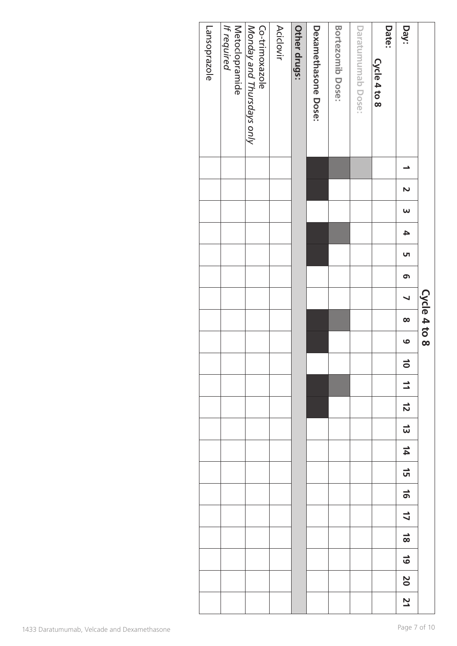|              | <b>Day:</b>                | Date:           |                   |                  |                                |              |                  |                                             |                               |              |
|--------------|----------------------------|-----------------|-------------------|------------------|--------------------------------|--------------|------------------|---------------------------------------------|-------------------------------|--------------|
|              |                            | $C$ ycle 4 to 8 | Daratumumab Dose: | Bortezomib Dose: | Dexamethasone<br>Dexamethasone | Other drugs: | <b>Aciclovir</b> | Monday and Thursdays only<br>Co-trimoxazole | Metoclopramide<br>If required | Lansoprazole |
|              | ∸                          |                 |                   |                  |                                |              |                  |                                             |                               |              |
|              | $\mathbf{v}$               |                 |                   |                  |                                |              |                  |                                             |                               |              |
|              | $\omega$                   |                 |                   |                  |                                |              |                  |                                             |                               |              |
|              | $\blacktriangle$           |                 |                   |                  |                                |              |                  |                                             |                               |              |
|              | UП                         |                 |                   |                  |                                |              |                  |                                             |                               |              |
|              | ෨                          |                 |                   |                  |                                |              |                  |                                             |                               |              |
|              | $\blacktriangleleft$       |                 |                   |                  |                                |              |                  |                                             |                               |              |
| Cycle 4 to 8 | $\infty$                   |                 |                   |                  |                                |              |                  |                                             |                               |              |
|              | $\bullet$                  |                 |                   |                  |                                |              |                  |                                             |                               |              |
|              | $\rightarrow$<br>$\bullet$ |                 |                   |                  |                                |              |                  |                                             |                               |              |
|              | $\mathbf{I}$               |                 |                   |                  |                                |              |                  |                                             |                               |              |
|              | $\frac{1}{2}$              |                 |                   |                  |                                |              |                  |                                             |                               |              |
|              | $\vec{\omega}$             |                 |                   |                  |                                |              |                  |                                             |                               |              |
|              | 14                         |                 |                   |                  |                                |              |                  |                                             |                               |              |
|              | $\vec{a}$                  |                 |                   |                  |                                |              |                  |                                             |                               |              |
|              | $\frac{1}{6}$              |                 |                   |                  |                                |              |                  |                                             |                               |              |
|              | $\overline{\mathbf{L}}$    |                 |                   |                  |                                |              |                  |                                             |                               |              |
|              | $\frac{1}{8}$              |                 |                   |                  |                                |              |                  |                                             |                               |              |
|              | $\frac{1}{9}$              |                 |                   |                  |                                |              |                  |                                             |                               |              |
|              | 20                         |                 |                   |                  |                                |              |                  |                                             |                               |              |
|              | 21                         |                 |                   |                  |                                |              |                  |                                             |                               |              |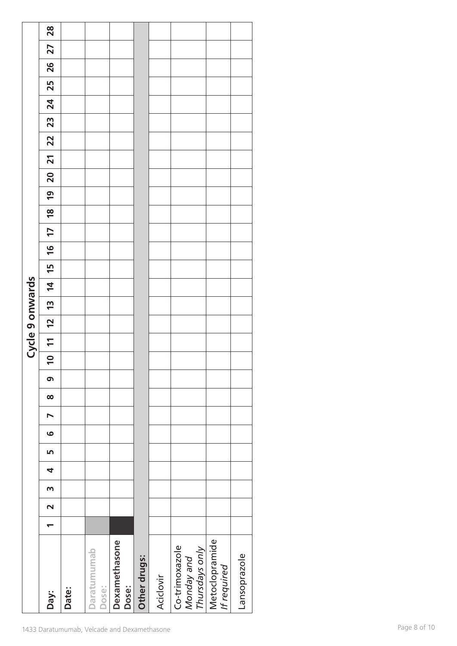|                 |                                    |       | 1433 Daratumumab, Velcade and Dexamethasone |                        |              |           |                                                |                               |              |
|-----------------|------------------------------------|-------|---------------------------------------------|------------------------|--------------|-----------|------------------------------------------------|-------------------------------|--------------|
|                 | Day:                               | Date: | Daratumumab<br>Dose:                        | Dexamethasone<br>Dose: | Other drugs: | Aciclovir | Co-trimoxazole<br>Thursdays only<br>Monday and | Metoclopramide<br>If required | Lansoprazole |
|                 | $\overline{\phantom{0}}$           |       |                                             |                        |              |           |                                                |                               |              |
|                 | $\sim$                             |       |                                             |                        |              |           |                                                |                               |              |
|                 | $\mathsf m$                        |       |                                             |                        |              |           |                                                |                               |              |
|                 | 4                                  |       |                                             |                        |              |           |                                                |                               |              |
|                 | LO.                                |       |                                             |                        |              |           |                                                |                               |              |
|                 | $\blacktriangleright$<br>$\bullet$ |       |                                             |                        |              |           |                                                |                               |              |
|                 | $\infty$                           |       |                                             |                        |              |           |                                                |                               |              |
|                 | $\sigma$                           |       |                                             |                        |              |           |                                                |                               |              |
|                 | $\overline{a}$                     |       |                                             |                        |              |           |                                                |                               |              |
| Cycle 9 onwards | $\overline{\phantom{0}}$           |       |                                             |                        |              |           |                                                |                               |              |
|                 | $\overline{2}$                     |       |                                             |                        |              |           |                                                |                               |              |
|                 | $\overline{u}$                     |       |                                             |                        |              |           |                                                |                               |              |
|                 | $\overline{4}$                     |       |                                             |                        |              |           |                                                |                               |              |
|                 | 15                                 |       |                                             |                        |              |           |                                                |                               |              |
|                 | $\frac{1}{6}$                      |       |                                             |                        |              |           |                                                |                               |              |
|                 | $\overline{1}$                     |       |                                             |                        |              |           |                                                |                               |              |
|                 | $\overline{6}$<br>$\frac{8}{10}$   |       |                                             |                        |              |           |                                                |                               |              |
|                 | 20                                 |       |                                             |                        |              |           |                                                |                               |              |
|                 | $\overline{21}$                    |       |                                             |                        |              |           |                                                |                               |              |
|                 | 22                                 |       |                                             |                        |              |           |                                                |                               |              |
|                 | 23                                 |       |                                             |                        |              |           |                                                |                               |              |
|                 | 24                                 |       |                                             |                        |              |           |                                                |                               |              |
|                 | 25                                 |       |                                             |                        |              |           |                                                |                               |              |
|                 | 26                                 |       |                                             |                        |              |           |                                                |                               |              |
|                 | 27                                 |       |                                             |                        |              |           |                                                |                               |              |
|                 | 28                                 |       |                                             |                        |              |           |                                                |                               |              |
|                 |                                    |       |                                             |                        |              |           |                                                |                               |              |